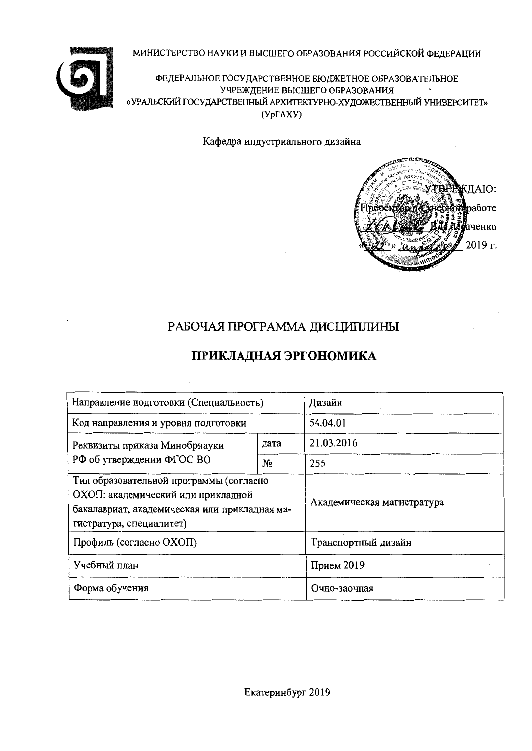МИНИСТЕРСТВО НАУКИ И ВЫСШЕГО ОБРАЗОВАНИЯ РОССИЙСКОЙ ФЕДЕРАЦИИ



ФЕДЕРАЛЬНОЕ ГОСУДАРСТВЕННОЕ БЮДЖЕТНОЕ ОБРАЗОВАТЕЛЬНОЕ УЧРЕЖДЕНИЕ ВЫСШЕГО ОБРАЗОВАНИЯ «УРАЛЬСКИЙ ГОСУДАРСТВЕННЫЙ АРХИТЕКТУРНО-ХУДОЖЕСТВЕННЫЙ УНИВЕРСИТЕТ»  $(Yp\Gamma A XY)$ 

Кафедра индустриального дизайна



# РАБОЧАЯ ПРОГРАММА ДИСЦИПЛИНЫ

# **ПРИКЛАДНАЯ ЭРГОНОМИКА**

| Направление подготовки (Специальность)                                                                                                                     | Дизайн                     |            |
|------------------------------------------------------------------------------------------------------------------------------------------------------------|----------------------------|------------|
| Код направления и уровня подготовки                                                                                                                        | 54.04.01                   |            |
| Реквизиты приказа Минобрнауки                                                                                                                              | дата                       | 21.03.2016 |
| РФ об утверждении ФГОС ВО                                                                                                                                  | No                         | 255        |
| Тип образовательной программы (согласно<br>ОХОП: академический или прикладной<br>бакалавриат, академическая или прикладная ма-<br>гистратура, специалитет) | Академическая магистратура |            |
| Профиль (согласно ОХОП)                                                                                                                                    | Транспортный дизайн        |            |
| Учебный план                                                                                                                                               | Прием $2019$               |            |
| Форма обучения                                                                                                                                             | Очно-заочная               |            |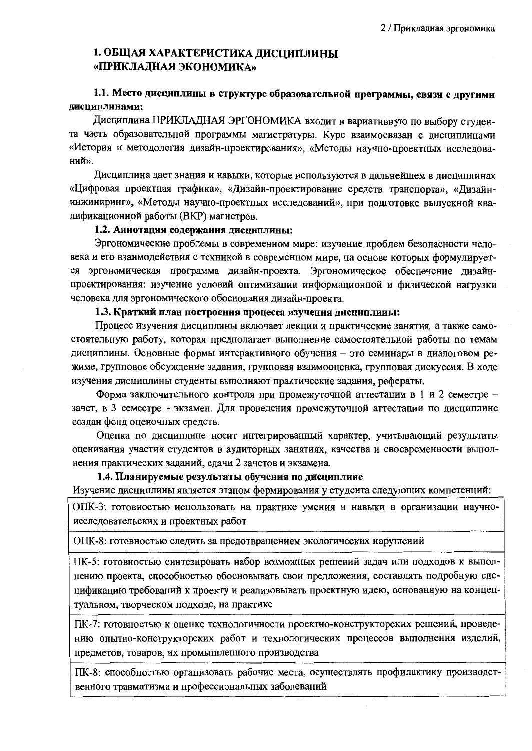## 1. ОБЩАЯ ХАРАКТЕРИСТИКА ДИСЦИПЛИНЫ «ПРИКЛАЛНАЯ ЭКОНОМИКА»

### 1.1. Место дисциплины в структуре образовательной программы, связи с другими дисциплинами:

Дисциплина ПРИКЛАДНАЯ ЭРГОНОМИКА входит в вариативную по выбору студента часть образовательной программы магистратуры. Курс взаимосвязан с дисциплинами «История и методология дизайн-проектирования», «Методы научно-проектных исследований».

Дисциплина дает знания и навыки, которые используются в дальнейшем в дисциплинах «Цифровая проектная графика», «Дизайн-проектирование средств транспорта», «Дизайнинжиниринг», «Методы научно-проектных исследований», при подготовке выпускной квалификационной работы (ВКР) магистров.

### 1.2. Аннотация содержания дисциплины:

Эргономические проблемы в современном мире: изучение проблем безопасности человека и его взаимодействия с техникой в современном мире, на основе которых формулируется эргономическая программа дизайн-проекта. Эргономическое обеспечение дизайнпроектирования: изучение условий оптимизации информационной и физической нагрузки человека для эргономического обоснования дизайн-проекта.

#### 1.3. Краткий план построения процесса изучения дисциплины:

Процесс изучения дисциплины включает лекции и практические занятия, а также самостоятельную работу, которая предполагает выполнение самостоятельной работы по темам дисциплины. Основные формы интерактивного обучения - это семинары в диалоговом режиме, групповое обсуждение задания, групповая взаимооценка, групповая дискуссия. В ходе изучения дисциплины студенты выполняют практические задания, рефераты.

Форма заключительного контроля при промежуточной аттестации в 1 и 2 семестре зачет, в 3 семестре - экзамен. Для проведения промежуточной аттестации по дисциплине создан фонд оценочных средств.

Оценка по дисциплине носит интегрированный характер, учитывающий результаты оценивания участия студентов в аудиторных занятиях, качества и своевременности выполнения практических заданий, сдачи 2 зачетов и экзамена.

### 1.4. Планируемые результаты обучения по дисциплине

Изучение дисциплины является этапом формирования у студента следующих компетенций:

ОПК-3: готовностью использовать на практике умения и навыки в организации научноисследовательских и проектных работ

ОПК-8: готовностью следить за предотвращением экологических нарушений

ПК-5: готовностью синтезировать набор возможных решений задач или подходов к выполнению проекта, способностью обосновывать свои предложения, составлять подробную спецификацию требований к проекту и реализовывать проектную идею, основанную на концептуальном, творческом подходе, на практике

ПК-7: готовностью к оценке технологичности проектно-конструкторских решений, проведению опытно-конструкторских работ и технологических процессов выполнения изделий, предметов, товаров, их промышленного производства

ПК-8: способностью организовать рабочие места, осуществлять профилактику производственного травматизма и профессиональных заболеваний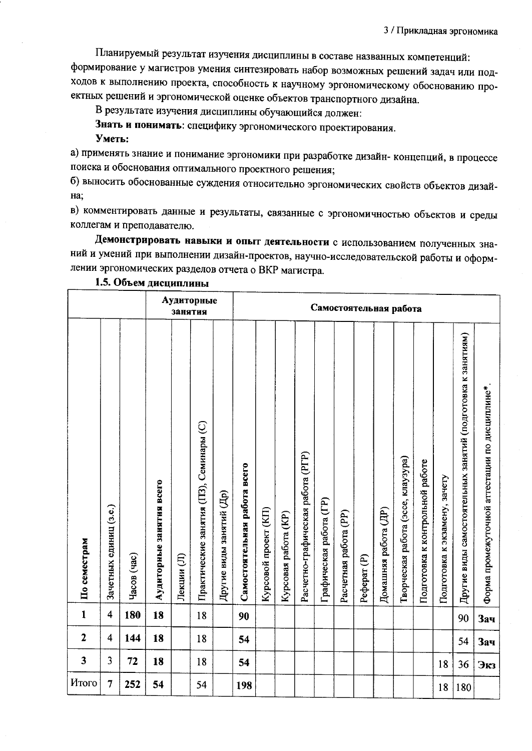3 / Прикладная эргономика

Планируемый результат изучения дисциплины в составе названных компетенций: формирование у магистров умения синтезировать набор возможных решений задач или подходов к выполнению проекта, способность к научному эргономическому обоснованию проектных решений и эргономической оценке объектов транспортного дизайна.

В результате изучения дисциплины обучающийся должен:

Знать и понимать: специфику эргономического проектирования.

Уметь:

а) применять знание и понимание эргономики при разработке дизайн- концепций, в процессе поиска и обоснования оптимального проектного решения;

б) выносить обоснованные суждения относительно эргономических свойств объектов дизай-Ha:

в) комментировать данные и результаты, связанные с эргономичностью объектов и среды коллегам и преподавателю.

Демонстрировать навыки и опыт деятельности с использованием полученных знаний и умений при выполнении дизайн-проектов, научно-исследовательской работы и оформлении эргономических разделов отчета о ВКР магистра.

|              |                         |             |                          | занятия    | Аудиторные                              |                          |                              | Самостоятельная работа |                      |                                   |                         |                       |                        |                      |                                    |                                 |                               |                                                             |                                                |
|--------------|-------------------------|-------------|--------------------------|------------|-----------------------------------------|--------------------------|------------------------------|------------------------|----------------------|-----------------------------------|-------------------------|-----------------------|------------------------|----------------------|------------------------------------|---------------------------------|-------------------------------|-------------------------------------------------------------|------------------------------------------------|
| По семестрам | Зачетных единиц (з.е.)  | Часов (час) | Аудиторные занятия всего | Лекции (Л) | Практические занятия (ПЗ), Семинары (С) | Другие виды занятий (Др) | Самостоятельная работа всего | Курсовой проект (КП)   | Курсовая работа (КР) | Расчетно-графическая работа (РГР) | Графическая работа (ГР) | Расчетная работа (PP) | Pedepar <sub>(P)</sub> | Домашняя работа (ДР) | Творческая работа (эссе, клаузура) | Подготовка к контрольной работе | Подготовка к экзамену, зачету | Другие виды самостоятельных занятий (подготовка к занятиям) | Форма промежуточной аттестации по дисциплине*. |
| $\mathbf{1}$ | $\overline{\mathbf{4}}$ | 180         | 18                       |            | 18                                      |                          | 90                           |                        |                      |                                   |                         |                       |                        |                      |                                    |                                 |                               | 90                                                          | Зач                                            |
| $\mathbf{2}$ | $\overline{\mathbf{4}}$ | 144         | 18                       |            | 18                                      |                          | 54                           |                        |                      |                                   |                         |                       |                        |                      |                                    |                                 |                               | 54                                                          | <b>Зач</b>                                     |
| $\mathbf{3}$ | 3                       | 72          | 18                       |            | 18                                      |                          | 54                           |                        |                      |                                   |                         |                       |                        |                      |                                    |                                 | 18                            | 36                                                          | Экз                                            |
| Итого        | 7                       | 252         | 54                       |            | 54                                      |                          | 198                          |                        |                      |                                   |                         |                       |                        |                      |                                    |                                 | 18                            | 180                                                         |                                                |

1.5. Объем дисциплины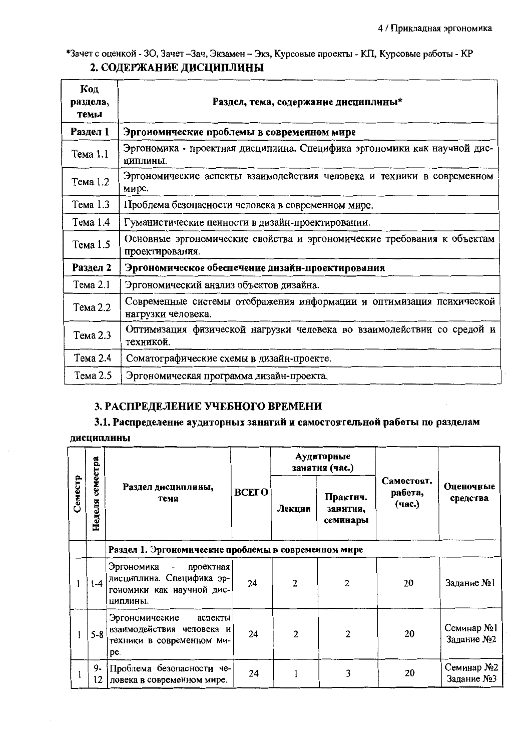\*Зачет с оценкой - 30, Зачет - Зач, Экзамен - Экз, Курсовые проекты - КП, Курсовые работы - КР 2. СОДЕРЖАНИЕ ДИСЦИПЛИНЫ

| Код<br>раздела,<br>темы | Раздел, тема, содержание дисциплины*                                                       |
|-------------------------|--------------------------------------------------------------------------------------------|
| Раздел 1                | Эргономические проблемы в современном мире                                                 |
| Тема 1.1                | Эргономика - проектная дисциплина. Специфика эргономики как научной дис-<br>ЦИПЛИНЫ.       |
| Тема 1.2                | Эргономические аспекты взаимодействия человека и техники в современном<br>мире.            |
| Тема 1.3                | Проблема безопасности человека в современном мире.                                         |
| Тема 1.4                | Гуманистические ценности в дизайн-проектировании.                                          |
| Тема 1.5                | Основные эргономические свойства и эргономические требования к объектам<br>проектирования. |
| Раздел 2                | Эргономическое обеспечение дизайн-проектирования                                           |
| Тема 2.1                | Эргономический анализ объектов дизайна.                                                    |
| Тема 2.2                | Современные системы отображения информации и оптимизация психической<br>нагрузки человека. |
| Тема 2.3                | Оптимизация физической нагрузки человека во взаимодействии со средой и<br>техникой.        |
| Тема 2.4                | Соматографические схемы в дизайн-проекте.                                                  |
| Тема 2.5                | Эргономическая программа дизайн-проекта.                                                   |

## 3. РАСПРЕДЕЛЕНИЕ УЧЕБНОГО ВРЕМЕНИ

3.1. Распределение аудиторных занятий и самостоятельной работы по разделам

дисциплины

|         | семестра |                                                                                                                           |              |                | Аудиторные<br>занятня (час.)     |                                 |                          |  |  |  |
|---------|----------|---------------------------------------------------------------------------------------------------------------------------|--------------|----------------|----------------------------------|---------------------------------|--------------------------|--|--|--|
| Семестр | Неделя   | Раздел дисциплины,<br>тема                                                                                                | <b>BCELO</b> | Лекции         | Практич.<br>занятия,<br>семинары | Самостоят.<br>работа,<br>(час.) | Оценочные<br>средства    |  |  |  |
|         |          | Раздел 1. Эргономические проблемы в современном мире                                                                      |              |                |                                  |                                 |                          |  |  |  |
|         | $1 - 4$  | Эргономика<br>проектная<br>$\overline{\phantom{a}}$<br>дисциплина. Специфика эр-<br>гономики как научной дис-<br>ЦИПЛИНЫ. | 24           | $\overline{2}$ | 2                                | 20                              | Задание №1               |  |  |  |
|         | $5 - 8$  | Эргономические<br>аспекты<br>взаимодействия человека и<br>техники в современном ми-<br>pe.                                | 24           | $\overline{c}$ | 2                                | 20                              | Семинар №1<br>Задание №2 |  |  |  |
|         | 9-<br>12 | Проблема безопасности че-<br>ловека в современном мире.                                                                   | 24           |                | 3                                | 20                              | Семинар №2<br>Задание №3 |  |  |  |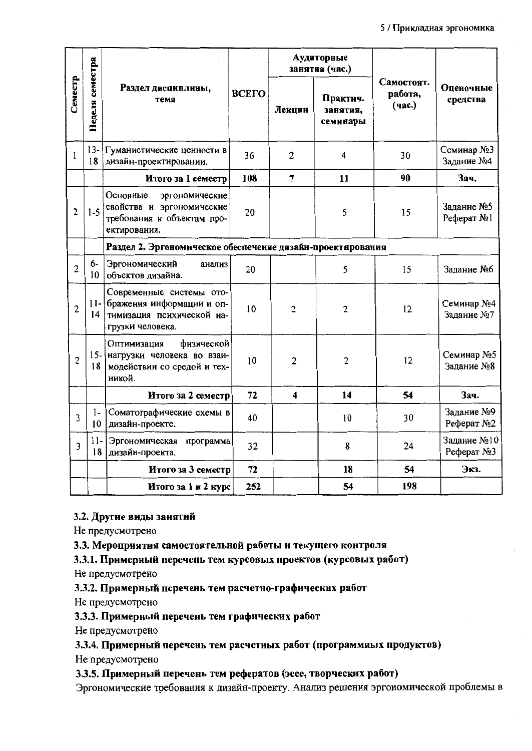|                |                         |                                                                                                            |              |                         | Аудиторные<br>занятия (час.)     |                                 |                            |
|----------------|-------------------------|------------------------------------------------------------------------------------------------------------|--------------|-------------------------|----------------------------------|---------------------------------|----------------------------|
| Семестр        | Неделя семестра         | Раздел дисциплины,<br>тема                                                                                 | <b>BCETO</b> | Лекции                  | Практич.<br>занятия,<br>семинары | Самостоят.<br>работа,<br>(час.) | Оценочные<br>средства      |
| 1              | $13 -$<br>18            | Гуманистические ценности в<br>дизайн-проектировании.                                                       | 36           | $\overline{2}$          | 4                                | 30                              | Семинар №3<br>Задание №4   |
|                |                         | Итого за 1 семестр                                                                                         | 108          | $\overline{7}$          | 11                               | 90                              | Зач.                       |
| $\overline{c}$ | $1-5$                   | Основные<br>эргономические<br>свойства и эргономические<br>требования к объектам про-<br>ектирования.      | 20           |                         | 5                                | 15                              | Задание №5<br>Pechepar No1 |
|                |                         | Раздел 2. Эргономическое обеспечение дизайн-проектирования                                                 |              |                         |                                  |                                 |                            |
| $\overline{c}$ | 6-<br>10                | Эргономический<br>анализ<br>объектов дизайна.                                                              | 20           |                         | 5                                | 15                              | Задание №6                 |
| $\overline{2}$ | 14                      | Современные системы ото-<br>11- бражения информации и оп-<br>тимизация психической на-<br>грузки человека. | 10           | $\overline{c}$          | $\overline{c}$                   | 12                              | Семинар №4<br>Задание №7   |
| $\overline{c}$ | 18                      | Оптимизация<br>физической<br>15- нагрузки человека во взаи-<br>модействии со средой и тех-<br>никой.       | 10           | $\overline{2}$          | $\overline{c}$                   | 12                              | Семинар №5<br>Задание №8   |
|                |                         | Итого за 2 семестр                                                                                         | 72           | $\overline{\mathbf{4}}$ | 14                               | 54                              | Зач.                       |
| 3              | $1-$<br>10 <sup>°</sup> | Соматографические схемы в<br>дизайн-проекте.                                                               | 40           |                         | 10                               | 30                              | Задание №9<br>Реферат №2   |
| 3              | $11-$<br>18             | Эргономическая<br>программа<br>дизайн-проекта.                                                             | 32           |                         | 8                                | 24                              | Задание №10<br>Peфepar No3 |
|                |                         | Итого за 3 семестр                                                                                         | 72           |                         | 18                               | 54                              | Экз.                       |
|                |                         | Итого за 1 и 2 курс                                                                                        | 252          |                         | 54                               | 198                             |                            |

### 3.2. Другие виды занятий

Не предусмотрено

3.3. Мероприятия самостоятельной работы и текущего контроля

3.3.1. Примерный перечень тем курсовых проектов (курсовых работ)

Не предусмотрено

3.3.2. Примерный перечень тем расчетно-графических работ

Не предусмотрено

3.3.3. Примерный перечень тем графических работ

Не предусмотрено

3.3.4. Примерный перечень тем расчетных работ (программных продуктов)

Не предусмотрено

3.3.5. Примерный перечень тем рефератов (эссе, творческих работ)

Эргономические требования к дизайн-проекту. Анализ решения эргономической проблемы в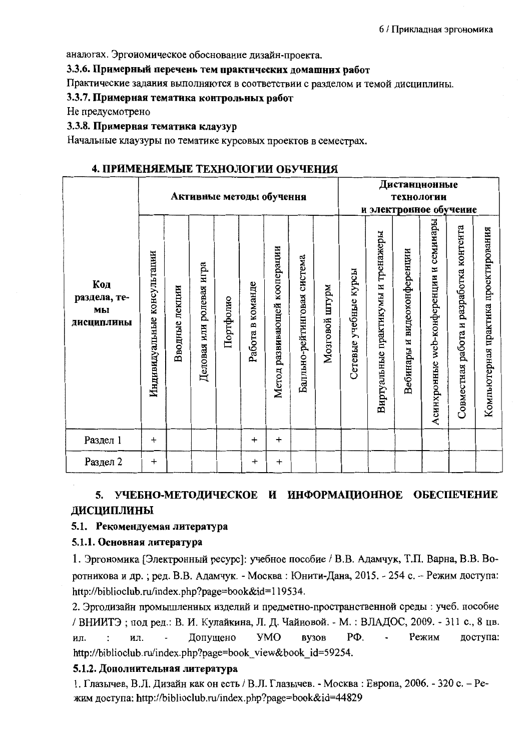аналогах. Эргономическое обоснование дизайн-проекта.

### 3.3.6. Примерный перечень тем практических домашних работ

Практические задания выполняются в соответствии с разделом и темой дисциплины.

### 3.3.7. Примерная тематика контрольных работ

Не предусмотрено

### 3.3.8. Примерная тематика клаузур

Начальные клаузуры по тематике курсовых проектов в семестрах.

### 4. ПРИМЕНЯЕМЫЕ ТЕХНОЛОГИИ ОБУЧЕНИЯ

|                                         |                                |                |                          |           |                  | Активные методы обучення     |                             |                   |                       |                                    | Дистанцнонные<br>технологии |                                           |                                         |                                      |
|-----------------------------------------|--------------------------------|----------------|--------------------------|-----------|------------------|------------------------------|-----------------------------|-------------------|-----------------------|------------------------------------|-----------------------------|-------------------------------------------|-----------------------------------------|--------------------------------------|
|                                         |                                |                |                          |           |                  |                              |                             |                   |                       |                                    | и электронное обучение      |                                           |                                         |                                      |
| Код<br>раздела, те-<br>MЫ<br>дисциплины | консультации<br>Индивидуальные | Вводные лекции | Деловая или ролевая игра | Портфолио | Работа в команде | Метод развивающей кооперации | Балльно-рейтинговая система | mdALm<br>Мозговой | Сетевые учебные курсы | Виртуальные практикумы и тренажеры | Вебинары и видеоконференции | семинары<br>Асинхронные web-конференции и | Совместная работа и разработка контента | Компьютерная практика проектирования |
| Раздел 1                                | $\ddot{}$                      |                |                          |           | $\ddot{}$        | $\ddot{}$                    |                             |                   |                       |                                    |                             |                                           |                                         |                                      |
| Раздел 2                                | $\ddot{}$                      |                |                          |           | $\ddot{}$        | $\ddot{}$                    |                             |                   |                       |                                    |                             |                                           |                                         |                                      |

## 5. УЧЕБНО-МЕТОДИЧЕСКОЕ И ИНФОРМАЦИОННОЕ ОБЕСПЕЧЕНИЕ ДИСЦИПЛИНЫ

### 5.1. Рекомендуемая литература

### 5.1.1. Основная литература

1. Эргономика [Электронный ресурс]: учебное пособие / В.В. Адамчук, Т.П. Варна, В.В. Воротникова и др.; ред. В.В. Адамчук. - Москва: Юнити-Дана, 2015. - 254 с. - Режим доступа: http://biblioclub.ru/index.php?page=book&id=119534.

2. Эргодизайн промышленных изделий и предметно-пространственной среды : учеб. пособие / ВНИИТЭ: под ред.: В. И. Кулайкина, Л. Д. Чайновой. - М. : ВЛАДОС, 2009. - 311 с., 8 цв. **YMO** PФ. Режим доступа: Допущено BY30B  $\overline{a}$  $\ddot{\cdot}$ ил. ИЛ. http://biblioclub.ru/index.php?page=book view&book id=59254.

### 5.1.2. Дополнительная литература

1. Глазычев, В.Л. Дизайн как он есть / В.Л. Глазычев. - Москва: Европа, 2006. - 320 с. - Режим доступа: http://biblioclub.ru/index.php?page=book&id=44829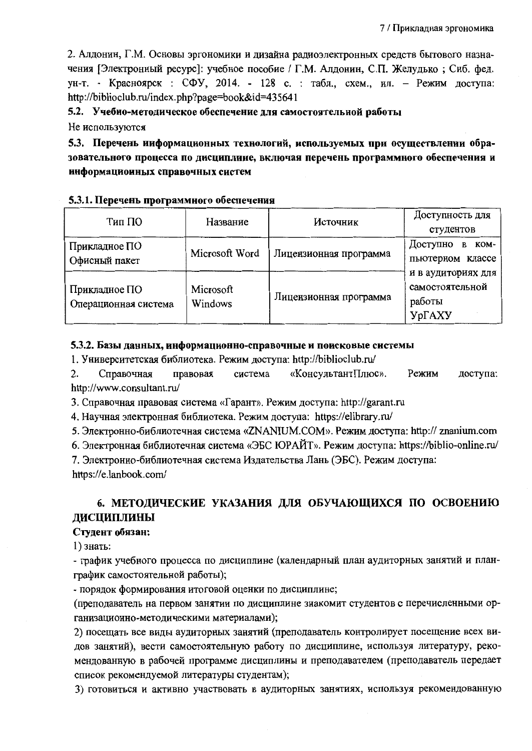2. Алдонин, Г.М. Основы эргономики и дизайна радиоэлектронных средств бытового назначения [Электронный ресурс]: учебное пособие / Г.М. Алдонин, С.П. Желудько; Сиб. фед. ун-т. - Красноярск : СФУ, 2014. - 128 с. : табл., схем., ил. - Режим доступа: http://biblioclub.ru/index.php?page=book&id=435641

5.2. Учебно-методическое обеспечение для самостоятельной работы

Не используются

5.3. Перечень ииформационных технологий, используемых при осуществлении образовательного процесса по дисциплиие, включая перечень программного обеспечения и информационных справочных систем

### 5.3.1. Перечень программного обеспечения

| Тип ПО                                | Название             | Источник               | Доступность для                                           |
|---------------------------------------|----------------------|------------------------|-----------------------------------------------------------|
|                                       |                      |                        | студентов                                                 |
| Прикладное ПО                         |                      |                        | Доступно<br>KOM-<br>B                                     |
| Офисный пакет                         | Microsoft Word       | Лицензионная программа | пьютерном классе                                          |
| Прикладное ПО<br>Операционная система | Microsoft<br>Windows | Лицензионная программа | и в аудиториях для<br>самостоятельной<br>работы<br>УрГАХУ |

### 5.3.2. Базы данных, информационно-справочные и поисковые системы

1. Университетская библиотека. Режим доступа: http://biblioclub.ru/

 $2.$ Справочная правовая система «КонсультантПлюс». Режим доступа: http://www.consultant.ru/

3. Справочная правовая система «Гарант». Режим доступа: http://garant.ru

4. Научная электронная библиотека. Режим доступа: https://elibrary.ru/

5. Электронно-библиотечная система «ZNANIUM.COM». Режим доступа: http:// znanium.com

6. Электронная библиотечная система «ЭБС ЮРАЙТ». Режим доступа: https://biblio-online.ru/

7. Электронно-библиотечная система Издательства Лань (ЭБС). Режим доступа:

https://e.lanbook.com/

## 6. МЕТОДИЧЕСКИЕ УКАЗАНИЯ ДЛЯ ОБУЧАЮЩИХСЯ ПО ОСВОЕНИЮ ДИСЦИПЛИНЫ

### Студент обязан:

 $1)$  знать:

- график учебного процесса по дисциплине (календарный план аудиторных занятий и планграфик самостоятельной работы);

- порядок формирования итоговой оценки по дисциплине;

(преподаватель на первом занятии по дисциплине знакомит студентов с перечисленными организационно-методическими материалами);

2) посещать все виды аудиторных занятий (преподаватель контролирует посещение всех видов занятий), вести самостоятельную работу по дисциплине, используя литературу, рекомендованную в рабочей программе дисциплины и преподавателем (преподаватель передает список рекомендуемой литературы студентам);

3) готовиться и активно участвовать в аудиторных занятиях, используя рекомендованную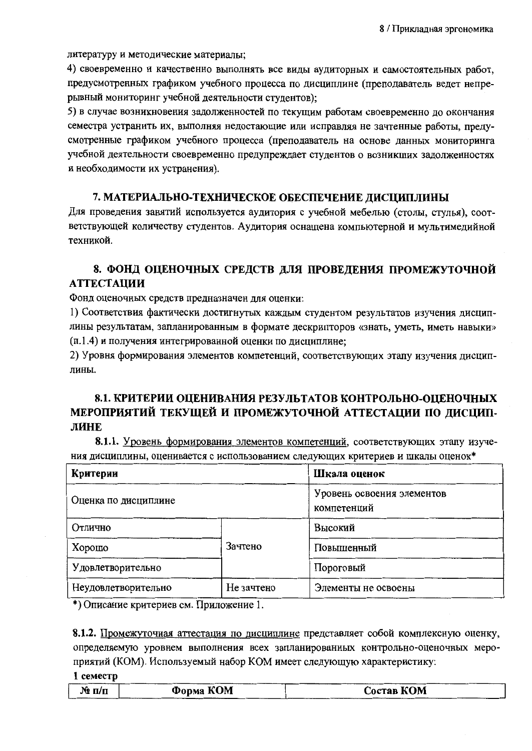литературу и методические материалы;

4) своевременно и качественно выполнять все виды аудиторных и самостоятельных работ, предусмотренных графиком учебного процесса по дисциплине (преподаватель ведет непрерывный мониторинг учебной деятельности студентов);

5) в случае возникновения задолженностей по текущим работам своевременно до окончания семестра устранить их, выполняя недостающие или исправляя не зачтенные работы, предусмотренные графиком учебного процесса (преподаватель на основе данных мониторинга учебной деятельности своевременно предупреждает студентов о возникших задолженностях и необходимости их устранения).

### 7. МАТЕРИАЛЬНО-ТЕХНИЧЕСКОЕ ОБЕСПЕЧЕНИЕ ДИСЦИПЛИНЫ

Для проведения занятий используется аудитория с учебной мебелью (столы, стулья), соответствующей количеству студентов. Аудитория оснащена компьютерной и мультимедийной техникой.

## 8. ФОНД ОЦЕНОЧНЫХ СРЕДСТВ ДЛЯ ПРОВЕДЕНИЯ ПРОМЕЖУТОЧНОЙ **АТТЕСТАЦИИ**

Фонд оценочных средств предназначен для оценки:

1) Соответствия фактически достигнутых каждым студентом результатов изучения дисциплины результатам, запланированным в формате дескрипторов «знать, уметь, иметь навыки» (п.1.4) и получения интегрированной оценки по дисциплине;

2) Уровня формирования элементов компетенций, соответствующих этапу изучения дисциплины.

## 8.1. КРИТЕРИИ ОЦЕНИВАНИЯ РЕЗУЛЬТАТОВ КОНТРОЛЬНО-ОЦЕНОЧНЫХ МЕРОПРИЯТИЙ ТЕКУЩЕЙ И ПРОМЕЖУТОЧНОЙ АТТЕСТАЦИИ ПО ДИСЦИП-ЛИНЕ

8.1.1. Уровень формирования элементов компетенций, соответствующих этапу изучения дисциплины, оценивается с использованием следующих критериев и шкалы оценок\*

| Критерии             | Шкала оценок                              |                     |  |
|----------------------|-------------------------------------------|---------------------|--|
| Оценка по дисциплине | Уровень освоения элементов<br>компетенций |                     |  |
| Отлично              |                                           | Высокий             |  |
| Хорошо               | Зачтено                                   | Повышенный          |  |
| Удовлетворительно    |                                           | Пороговый           |  |
| Неудовлетворительно  | Не зачтено                                | Элементы не освоены |  |

\*) Описание критериев см. Приложение 1.

8.1.2. Промежуточная аттестация по дисциплине представляет собой комплексную оценку, определяемую уровнем выполнения всех запланированных контрольно-оценочных мероприятий (КОМ). Используемый набор КОМ имеет следующую характеристику:

|  | 1 семестр |
|--|-----------|
|--|-----------|

| $\mathbf{N}_2$ п/п | Форма КОМ | Состав КОМ |
|--------------------|-----------|------------|
|                    |           |            |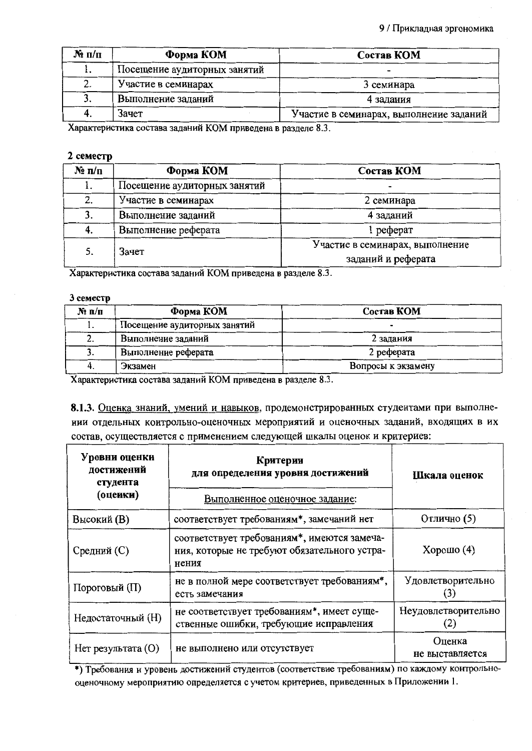| $\mathbf{N}_2$ п/п | Форма КОМ                    | Состав КОМ                              |
|--------------------|------------------------------|-----------------------------------------|
|                    | Посещение аудиторных занятий |                                         |
| z.                 | Участие в семинарах          | 3 семинара                              |
|                    | Выполнение заданий           | 4 задания                               |
| 4.                 | Зачет                        | Участие в семинарах, выполнение заданий |

Характеристика состава заданий КОМ приведена в разделе 8.3.

### 2 семестр

| $\mathbf{N}_2 \mathbf{n}/\mathbf{n}$ | Форма КОМ                    | Состав КОМ                                            |
|--------------------------------------|------------------------------|-------------------------------------------------------|
|                                      | Посещение аудиторных занятий |                                                       |
| 2.                                   | Участие в семинарах          | 2 семинара                                            |
|                                      | Выполнение заданий           | 4 заданий                                             |
| 4.                                   | Выполнение реферата          | реферат                                               |
| 5.                                   | Зачет                        | Участие в семинарах, выполнение<br>заданий и реферата |

Характеристика состава заданий КОМ приведена в разделе 8.3.

### 3 семестр

| $N_2$ n/n | Форма КОМ                    | Состав КОМ         |  |
|-----------|------------------------------|--------------------|--|
|           | Посещение аудиторных занятий |                    |  |
| z.        | Выполнение заданий           | 2 задания          |  |
| J.        | Выполнение реферата          | 2 реферата         |  |
|           | Экзамен                      | Вопросы к экзамену |  |

Характеристика состава заданий КОМ приведена в разделе 8.3.

8.1.3. Оценка знаний, умений и навыков, продемонстрированных студентами при выполнении отдельных контрольно-оценочных мероприятий и оценочных заданий, входящих в их состав, осуществляется с применением следующей шкалы оценок и критериев:

| Уровни оценки<br>достижений<br>студента<br>(оцеики) | Критерии<br>для определения уровня достижений<br>Выполненное оценочное задание:                      | Шкала оценок               |  |
|-----------------------------------------------------|------------------------------------------------------------------------------------------------------|----------------------------|--|
| Высокий (В)                                         | соответствует требованиям*, замечаний нет                                                            | Отлично (5)                |  |
| Средний (С)                                         | соответствует требованиям*, имеются замеча-<br>ния, которые не требуют обязательного устра-<br>нения | Хорошо $(4)$               |  |
| Пороговый (П)                                       | не в полной мере соответствует требованиям*,<br>есть замечания                                       | Удовлетворительно          |  |
| Недостаточный (Н)                                   | не соответствует требованиям*, имеет суще-<br>ственные ошибки, требующие исправления                 | Неудовлетворительно<br>(2) |  |
| Нет результата (O)                                  | не выполнено или отсутствует                                                                         | Оценка<br>не выставляется  |  |

\*) Требования и уровень достижений студентов (соответствие требованиям) по каждому контрольнооценочному мероприятию определяется с учетом критериев, приведенных в Приложении 1.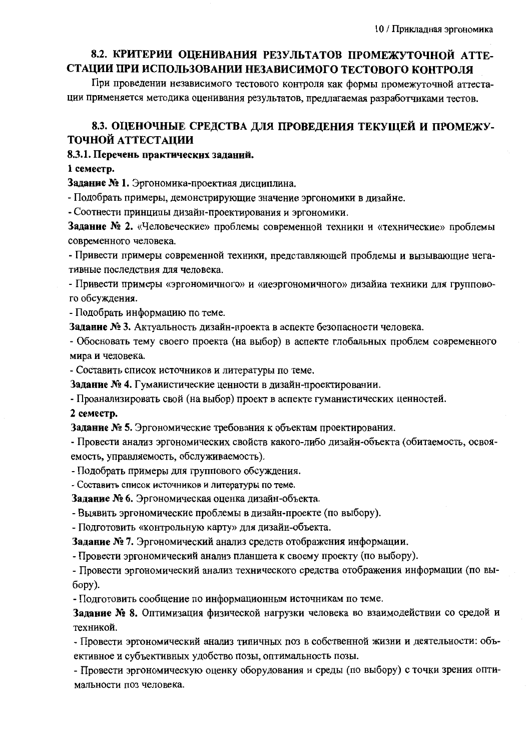## 8.2. КРИТЕРИИ ОЦЕНИВАНИЯ РЕЗУЛЬТАТОВ ПРОМЕЖУТОЧНОЙ АТТЕ-СТАЦИИ ПРИ ИСПОЛЬЗОВАНИИ НЕЗАВИСИМОГО ТЕСТОВОГО КОНТРОЛЯ

При проведении независимого тестового контроля как формы промежуточной аттестации применяется методика оценивания результатов, предлагаемая разработчиками тестов.

## 8.3. ОЦЕНОЧНЫЕ СРЕДСТВА ДЛЯ ПРОВЕДЕНИЯ ТЕКУЩЕЙ И ПРОМЕЖУ-ТОЧНОЙ АТТЕСТАЦИИ

### 8.3.1. Перечень практических заданий.

### 1 семестр.

Задание № 1. Эргономика-проектная дисциплина.

- Подобрать примеры, демонстрирующие значение эргономики в дизайне.

- Соотнести принципы дизайн-проектирования и эргономики.

Задание № 2. «Человеческие» проблемы современной техники и «технические» проблемы современного человека.

- Привести примеры современной техники, представляющей проблемы и вызывающие негативные последствия для человека.

- Привести примеры «эргономичного» и «неэргономичного» дизайна техники для группового обсуждения.

- Подобрать информацию по теме.

Задание № 3. Актуальность дизайн-проекта в аспекте безопасности человека.

- Обосновать тему своего проекта (на выбор) в аспекте глобальных проблем современного мира и человека.

- Составить список источников и литературы по теме.

Задание № 4. Гуманистические ценности в дизайн-проектировании.

- Проанализировать свой (на выбор) проект в аспекте гуманистических ценностей.

2 семестр.

Задание № 5. Эргономические требования к объектам проектирования.

- Провести анализ эргономических свойств какого-либо дизайн-объекта (обитаемость, освояемость, управляемость, обслуживаемость).

- Подобрать примеры для группового обсуждения.

- Составить список источников и литературы по теме.

Задание № 6. Эргономическая оценка дизайн-объекта.

- Выявить эргономические проблемы в дизайн-проекте (по выбору).

- Подготовить «контрольную карту» для дизайн-объекта.

Задание № 7. Эргономический анализ средств отображения информации.

- Провести эргономический анализ планшета к своему проекту (по выбору).

- Провести эргономический анализ технического средства отображения информации (по вы- $6$ opy).

- Подготовить сообщение по информационным источникам по теме.

Задание № 8. Оптимизация физической нагрузки человека во взаимодействии со средой и техникой.

- Провести эргономический анализ типичных поз в собственной жизни и деятельности: объективное и субъективных удобство позы, оптимальность позы.

- Провести эргономическую оценку оборудования и среды (по выбору) с точки зрения оптимальности поз человека.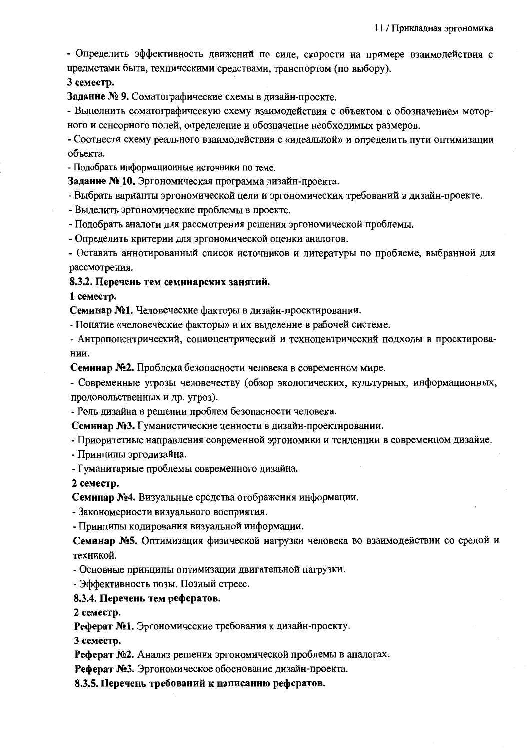- Определить эффективность движений по силе, скорости на примере взаимодействия с предметами быта, техническими средствами, транспортом (по выбору).

3 семестр.

Задание № 9. Соматографические схемы в дизайн-проекте.

- Выполнить соматографическую схему взаимодействия с объектом с обозначением моторного и сенсорного полей, определение и обозначение необходимых размеров.

- Соотнести схему реального взаимодействия с «идеальной» и определить пути оптимизации объекта.

- Подобрать информационные источники по теме.

Задание № 10. Эргономическая программа дизайн-проекта.

- Выбрать варианты эргономической цели и эргономических требований в дизайн-проекте.

- Выделить эргономические проблемы в проекте.

- Подобрать аналоги для рассмотрения решения эргономической проблемы.

- Определить критерии для эргономической оценки аналогов.

- Оставить аннотированный список источников и литературы по проблеме, выбранной для рассмотрения.

### 8.3.2. Перечень тем семинарских занятий.

#### 1 семестр.

Семинар №1. Человеческие факторы в дизайн-проектировании.

- Понятие «человеческие факторы» и их выделение в рабочей системе.

- Антропоцентрический, социоцентрический и техноцентрический подходы в проектировании.

Семинар №2. Проблема безопасности человека в современном мире.

- Современные угрозы человечеству (обзор экологических, культурных, информационных, продовольственных и др. угроз).

- Роль дизайна в решении проблем безопасности человека.

Семинар №3. Гуманистические ценности в дизайн-проектировании.

- Приоритетные направления современной эргономики и тенденции в современном дизайне.

- Принципы эргодизайна.

- Гуманитарные проблемы современного дизайна.

### 2 семестр.

Семинар №4. Визуальные средства отображения информации.

- Закономерности визуального восприятия.

- Принципы кодирования визуальной информации.

Семинар №5. Оптимизация физической нагрузки человека во взаимодействии со средой и техникой.

- Основные принципы оптимизации двигательной нагрузки.

- Эффективность позы. Позный стресс.

### 8.3.4. Перечень тем рефератов.

2 семестр.

Реферат №1. Эргономические требования к дизайн-проекту.

3 семестр.

Реферат №2. Анализ решения эргономической проблемы в аналогах.

Реферат №3. Эргономическое обоснование дизайн-проекта.

8.3.5. Перечень требований к написанию рефератов.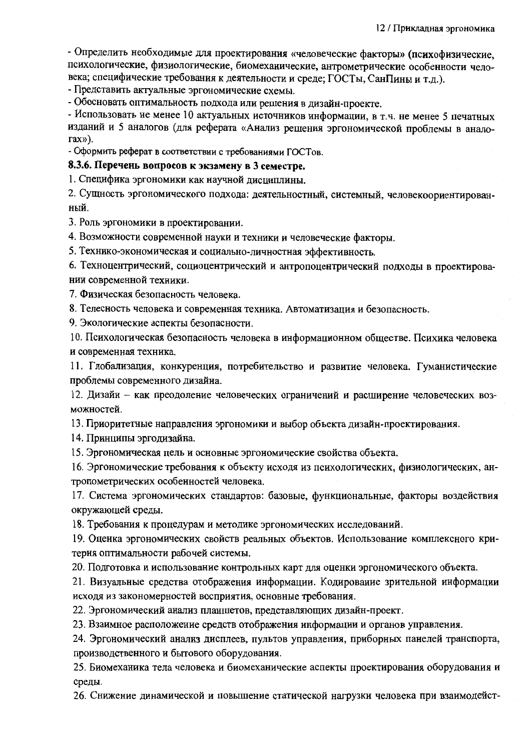- Определить необходимые для проектирования «человеческие факторы» (психофизические, психологические, физиологические, биомеханические, антрометрические особенности человека; специфические требования к деятельности и среде; ГОСТы, СанПины и т.д.).

- Представить актуальные эргономические схемы.

- Обосновать оптимальность подхода или решения в дизайн-проекте.

- Использовать не менее 10 актуальных источников информации, в т.ч. не менее 5 печатных изданий и 5 аналогов (для реферата «Анализ решения эргономической проблемы в анало- $\text{max}$ ).

- Оформить реферат в соответствии с требованиями ГОСТов.

### 8.3.6. Перечень вопросов к экзамену в 3 семестре.

1. Специфика эргономики как научной дисциплины.

2. Сущность эргономического подхода: деятельностный, системный, человекоориентированный.

3. Роль эргономики в проектировании.

4. Возможности современной науки и техники и человеческие факторы.

5. Технико-экономическая и социально-личностная эффективность.

6. Техноцентрический, социоцентрический и антропоцентрический подходы в проектировании современной техники.

7. Физическая безопасность человека.

8. Телесность человека и современная техника. Автоматизация и безопасность.

9. Экологические аспекты безопасности.

10. Психологическая безопасность человека в информационном обществе. Психика человека и современная техника.

11. Глобализация, конкуренция, потребительство и развитие человека. Гуманистические проблемы современного дизайна.

12. Дизайн - как преодоление человеческих ограничений и расширение человеческих возможностей.

13. Приоритетные направления эргономики и выбор объекта дизайн-проектирования.

14. Принципы эргодизайна.

15. Эргономическая цель и основные эргономические свойства объекта.

16. Эргономические требования к объекту исходя из психологических, физиологических, антропометрических особенностей человека.

17. Система эргономических стандартов: базовые, функциональные, факторы воздействия окружающей среды.

18. Требования к процедурам и методике эргономических исследований.

19. Оценка эргономических свойств реальных объектов. Использование комплексного критерия оптимальности рабочей системы.

20. Подготовка и использование контрольных карт для оценки эргономического объекта.

21. Визуальные средства отображения информации. Кодирование зрительной информации исходя из закономерностей восприятия, основные требования.

22. Эргономический анализ планшетов, представляющих дизайн-проект.

23. Взаимное расположение средств отображения информации и органов управления.

24. Эргономический анализ дисплеев, пультов управления, приборных панелей транспорта, производственного и бытового оборудования.

25. Биомеханика тела человека и биомеханические аспекты проектирования оборудования и среды.

26. Снижение динамической и повышение статической нагрузки человека при взаимодейст-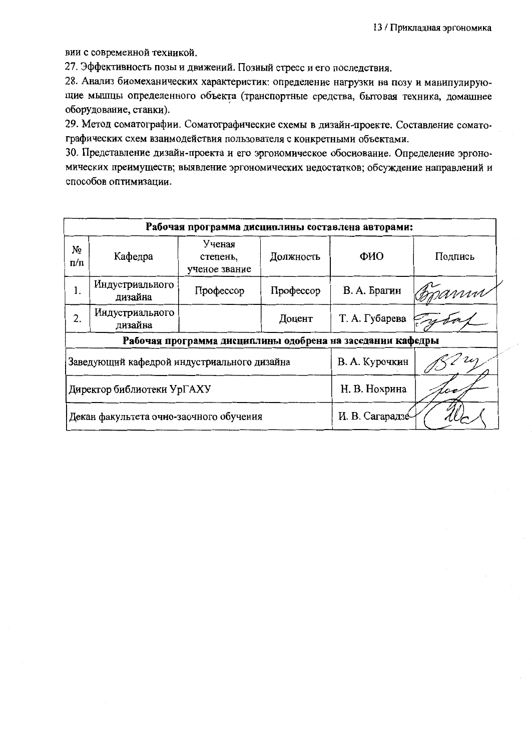вии с современной техникой.

27. Эффективность позы и движений. Позный стресс и его последствия.

28. Анализ биомеханических характеристик: определение нагрузки на позу и манипулирующие мышцы определенного объекта (транспортные средства, бытовая техника, домашнее оборудование, станки).

29. Метод соматографии. Соматографические схемы в дизайн-проекте. Составление соматографических схем взаимодействия пользователя с конкретными объектами.

30. Представление дизайн-проекта и его эргономическое обоснование. Определение эргономических преимуществ; выявление эргономических недостатков; обсуждение направлений и способов оптимизации.

| Рабочая программа дисциплины составлена авторами:          |                            |                                     |                  |                |         |
|------------------------------------------------------------|----------------------------|-------------------------------------|------------------|----------------|---------|
| No<br>$\Pi/\Pi$                                            | Кафедра                    | Ученая<br>степень,<br>ученое звание | Должность        | ФИО            | Подпись |
| 1.                                                         | Индустриального<br>дизайна | Профессор                           | Профессор        | В. А. Брагин   | mm      |
| 2.                                                         | Индустриального<br>дизайна |                                     | Доцент           | Т. А. Губарева |         |
| Рабочая программа дисциплины одобрена на заседании кафедры |                            |                                     |                  |                |         |
| Заведующий кафедрой индустриального дизайна                |                            |                                     | В. А. Курочкин   |                |         |
| Директор библиотеки УрГАХУ                                 |                            |                                     | Н. В. Нохрина    |                |         |
| Декан факультета очно-заочного обучения                    |                            |                                     | И. В. Сагарадзе- |                |         |